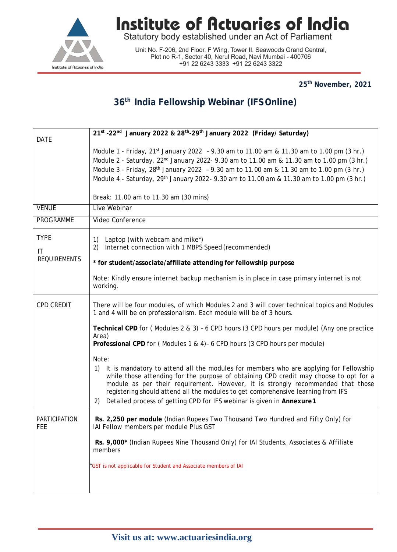

# **Institute of Actuaries of India**<br>Statutory body established under an Act of Parliament

Unit No. F-206, 2nd Floor, F Wing, Tower II, Seawoods Grand Central, Plot no R-1, Sector 40, Nerul Road, Navi Mumbai - 400706 +91 22 6243 3333 +91 22 6243 3322

**25th November, 2021**

### **36th India Fellowship Webinar (IFS Online)**

| <b>DATE</b>         | 21st -22nd January 2022 & 28th-29th January 2022 (Friday/ Saturday)                                                                                                                                                                                                                                                                          |
|---------------------|----------------------------------------------------------------------------------------------------------------------------------------------------------------------------------------------------------------------------------------------------------------------------------------------------------------------------------------------|
|                     | Module 1 - Friday, $21^{st}$ January 2022 - 9.30 am to 11.00 am & 11.30 am to 1.00 pm (3 hr.)                                                                                                                                                                                                                                                |
|                     | Module 2 - Saturday, 22 <sup>nd</sup> January 2022- 9.30 am to 11.00 am & 11.30 am to 1.00 pm (3 hr.)                                                                                                                                                                                                                                        |
|                     | Module 3 - Friday, 28 <sup>th</sup> January 2022 - 9.30 am to 11.00 am & 11.30 am to 1.00 pm (3 hr.)                                                                                                                                                                                                                                         |
|                     | Module 4 - Saturday, 29 <sup>th</sup> January 2022 - 9.30 am to 11.00 am & 11.30 am to 1.00 pm (3 hr.)                                                                                                                                                                                                                                       |
|                     | Break: 11.00 am to 11.30 am (30 mins)                                                                                                                                                                                                                                                                                                        |
| <b>VENUE</b>        | Live Webinar                                                                                                                                                                                                                                                                                                                                 |
| PROGRAMME           | Video Conference                                                                                                                                                                                                                                                                                                                             |
| <b>TYPE</b>         | Laptop (with webcam and mike*)<br>1)                                                                                                                                                                                                                                                                                                         |
| IT                  | Internet connection with 1 MBPS Speed (recommended)<br>2)                                                                                                                                                                                                                                                                                    |
| <b>REQUIREMENTS</b> | * for student/associate/affiliate attending for fellowship purpose                                                                                                                                                                                                                                                                           |
|                     | Note: Kindly ensure internet backup mechanism is in place in case primary internet is not<br>working.                                                                                                                                                                                                                                        |
| CPD CREDIT          | There will be four modules, of which Modules 2 and 3 will cover technical topics and Modules<br>1 and 4 will be on professionalism. Each module will be of 3 hours.                                                                                                                                                                          |
|                     | Technical CPD for (Modules 2 & 3) - 6 CPD hours (3 CPD hours per module) (Any one practice<br>Area)                                                                                                                                                                                                                                          |
|                     | Professional CPD for (Modules 1 & 4)- 6 CPD hours (3 CPD hours per module)                                                                                                                                                                                                                                                                   |
|                     | Note:<br>It is mandatory to attend all the modules for members who are applying for Fellowship<br>1)                                                                                                                                                                                                                                         |
|                     | while those attending for the purpose of obtaining CPD credit may choose to opt for a<br>module as per their requirement. However, it is strongly recommended that those<br>registering should attend all the modules to get comprehensive learning from IFS<br>Detailed process of getting CPD for IFS webinar is given in Annexure 1<br>2) |
| PARTICIPATION       | Rs. 2,250 per module (Indian Rupees Two Thousand Two Hundred and Fifty Only) for                                                                                                                                                                                                                                                             |
| FEE                 | IAI Fellow members per module Plus GST                                                                                                                                                                                                                                                                                                       |
|                     | Rs. 9,000* (Indian Rupees Nine Thousand Only) for IAI Students, Associates & Affiliate<br>members                                                                                                                                                                                                                                            |
|                     | GST is not applicable for Student and Associate members of IAI                                                                                                                                                                                                                                                                               |
|                     |                                                                                                                                                                                                                                                                                                                                              |
|                     |                                                                                                                                                                                                                                                                                                                                              |